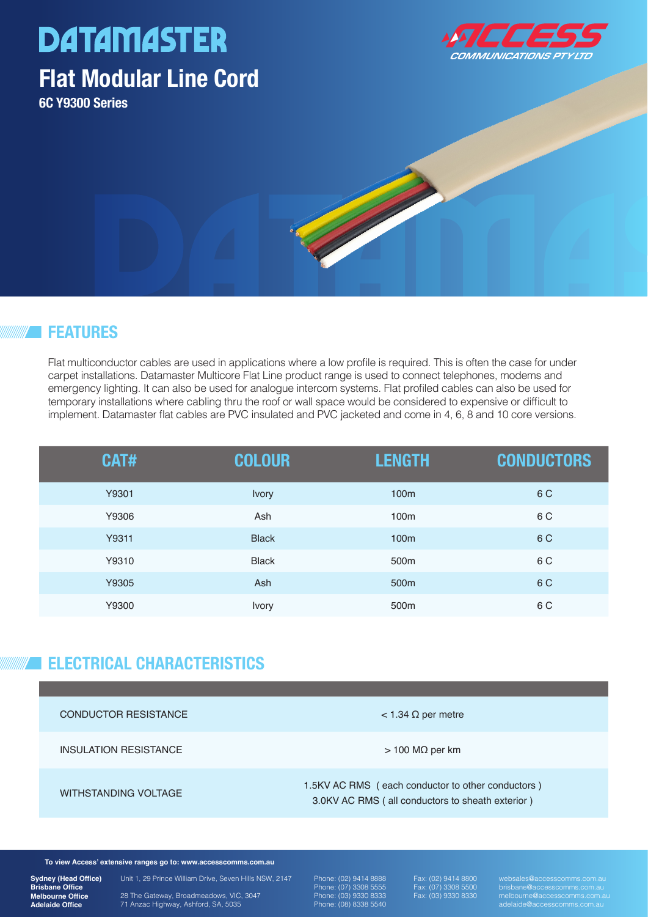# **DATAMASTER**

### **Flat Modular Line Cord**

**6C Y9300 Series**



#### **FEATURES**

Flat multiconductor cables are used in applications where a low profile is required. This is often the case for under carpet installations. Datamaster Multicore Flat Line product range is used to connect telephones, modems and emergency lighting. It can also be used for analogue intercom systems. Flat profiled cables can also be used for temporary installations where cabling thru the roof or wall space would be considered to expensive or difficult to implement. Datamaster flat cables are PVC insulated and PVC jacketed and come in 4, 6, 8 and 10 core versions.

COMMUNICATION

| <b>CAT#</b> | <b>COLOUR</b> | <b>LENGTH</b>    | <b>CONDUCTORS</b> |
|-------------|---------------|------------------|-------------------|
| Y9301       | <b>Ivory</b>  | 100m             | 6 C               |
| Y9306       | Ash           | 100 <sub>m</sub> | 6 C               |
| Y9311       | <b>Black</b>  | 100m             | 6 C               |
| Y9310       | <b>Black</b>  | 500 <sub>m</sub> | 6 C               |
| Y9305       | Ash           | 500 <sub>m</sub> | 6 C               |
| Y9300       | <b>Ivory</b>  | 500 <sub>m</sub> | 6 C               |

#### **ELECTRICAL CHARACTERISTICS**

| <b>CONDUCTOR RESISTANCE</b> | $<$ 1.34 $\Omega$ per metre                                                                           |
|-----------------------------|-------------------------------------------------------------------------------------------------------|
| INSULATION RESISTANCE       | $>$ 100 M $\Omega$ per km                                                                             |
| WITHSTANDING VOLTAGE        | 1.5KV AC RMS (each conductor to other conductors)<br>3.0KV AC RMS (all conductors to sheath exterior) |

**To view Access' extensive ranges go to: www.accesscomms.com.au**

**Sydney (Head Office) Brisbane Office Melbourne Office Adelaide Office**

28 The Gateway, Broadmeadows, VIC, 3047 71 Anzac Highway, Ashford, SA, 5035

Unit 1, 29 Prince William Drive, Seven Hills NSW, 2147

Phone: (02) 9414 8888 Phone: (07) 3308 5555 Phone: (03) 9330 8333 Phone: (08) 8338 5540

Fax: (07) 3308 5500 Fax: (03) 9330 8330

websales@accesscomms.com.au brisbane@accesscomms.com.au melbourne@accesscomms.com.au adelaide@accesscomms.com.au